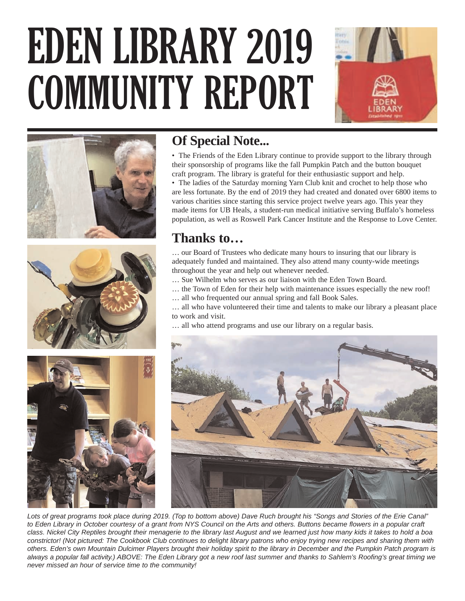# EDEN LIBRARY 2019 COMMUNITY REPORT







## **Of Special Note...**

• The Friends of the Eden Library continue to provide support to the library through their sponsorship of programs like the fall Pumpkin Patch and the button bouquet craft program. The library is grateful for their enthusiastic support and help.

• The ladies of the Saturday morning Yarn Club knit and crochet to help those who are less fortunate. By the end of 2019 they had created and donated over 6800 items to various charities since starting this service project twelve years ago. This year they made items for UB Heals, a student-run medical initiative serving Buffalo's homeless population, as well as Roswell Park Cancer Institute and the Response to Love Center.

## **Thanks to…**

… our Board of Trustees who dedicate many hours to insuring that our library is adequately funded and maintained. They also attend many county-wide meetings throughout the year and help out whenever needed.

- … Sue Wilhelm who serves as our liaison with the Eden Town Board.
- … the Town of Eden for their help with maintenance issues especially the new roof!
- … all who frequented our annual spring and fall Book Sales.

… all who have volunteered their time and talents to make our library a pleasant place to work and visit.

… all who attend programs and use our library on a regular basis.





Lots of great programs took place during 2019. (Top to bottom above) Dave Ruch brought his "Songs and Stories of the Erie Canal" to Eden Library in October courtesy of a grant from NYS Council on the Arts and others. Buttons became flowers in a popular craft class. Nickel City Reptiles brought their menagerie to the library last August and we learned just how many kids it takes to hold a boa constrictor! (Not pictured: The Cookbook Club continues to delight library patrons who enjoy trying new recipes and sharing them with others. Eden's own Mountain Dulcimer Players brought their holiday spirit to the library in December and the Pumpkin Patch program is always a popular fall activity.) ABOVE: The Eden Library got a new roof last summer and thanks to Sahlem's Roofing's great timing we never missed an hour of service time to the community!